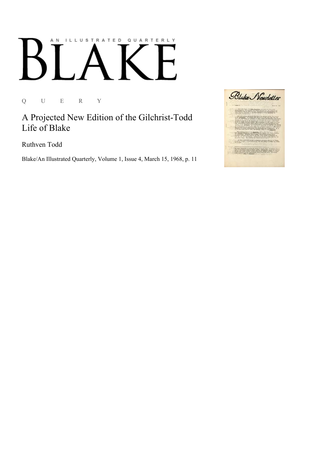## AN ILLUSTRATED QUARTERLY Ӄ

Q U E R Y

A Projected New Edition of the Gilchrist-Todd Life of Blake

Ruthven Todd

Blake/An Illustrated Quarterly, Volume 1, Issue 4, March 15, 1968, p. 11